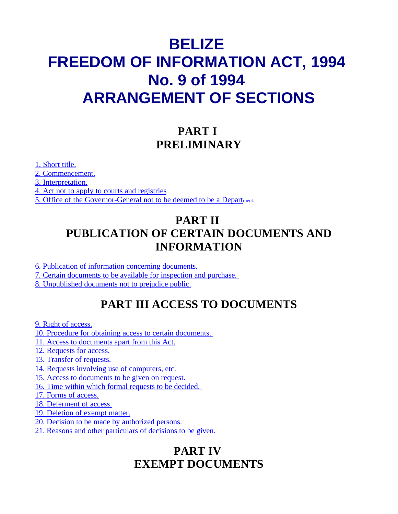# **BELIZE FREEDOM OF INFORMATION ACT, 1994 No. 9 of 1994 ARRANGEMENT OF SECTIONS**

# **PART I PRELIMINARY**

1. Short title.

2. Commencement.

3. Interpretation.

4. Act not to apply to courts and registries

5. Office of the Governor-General not to be deemed to be a Department.

# **PART II PUBLICATION OF CERTAIN DOCUMENTS AND INFORMATION**

6. Publication of information concerning documents.

7. Certain documents to be available for inspection and purchase.

8. Unpublished documents not to prejudice public.

# **PART III ACCESS TO DOCUMENTS**

9. Right of access.

10. Procedure for obtaining access to certain documents.

11. Access to documents apart from this Act.

12. Requests for access.

13. Transfer of requests.

14. Requests involving use of computers, etc.

15. Access to documents to be given on request.

16. Time within which formal requests to be decided.

17. Forms of access.

18. Deferment of access.

19. Deletion of exempt matter.

20. Decision to be made by authorized persons.

21. Reasons and other particulars of decisions to be given.

# **PART IV EXEMPT DOCUMENTS**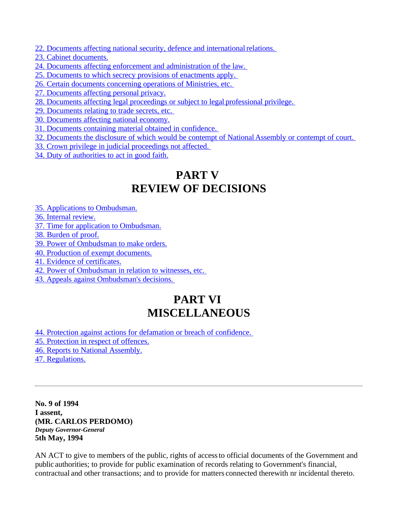- 22. Documents affecting national security, defence and international relations.
- 23. Cabinet documents.
- 24. Documents affecting enforcement and administration of the law.
- 25. Documents to which secrecy provisions of enactments apply.
- 26. Certain documents concerning operations of Ministries, etc.
- 27. Documents affecting personal privacy.
- 28. Documents affecting legal proceedings or subject to legal professional privilege.
- 29. Documents relating to trade secrets, etc.
- 30. Documents affecting national economy.
- 31. Documents containing material obtained in confidence.
- 32. Documents the disclosure of which would be contempt of National Assembly or contempt of court.
- 33. Crown privilege in judicial proceedings not affected.
- 34. Duty of authorities to act in good faith.

# **PART V REVIEW OF DECISIONS**

- 35. Applications to Ombudsman.
- 36. Internal review.
- 37. Time for application to Ombudsman.
- 38. Burden of proof.
- 39. Power of Ombudsman to make orders.
- 40. Production of exempt documents.
- 41. Evidence of certificates.
- 42. Power of Ombudsman in relation to witnesses, etc.
- 43. Appeals against Ombudsman's decisions.

# **PART VI MISCELLANEOUS**

- 44. Protection against actions for defamation or breach of confidence.
- 45. Protection in respect of offences.
- 46. Reports to National Assembly.
- 47. Regulations.

**No. 9 of 1994 I assent, (MR. CARLOS PERDOMO)**  *Deputy Governor-General*  **5th May, 1994** 

AN ACT to give to members of the public, rights of accessto official documents of the Government and public authorities; to provide for public examination of records relating to Government's financial, contractual and other transactions; and to provide for matters connected therewith nr incidental thereto.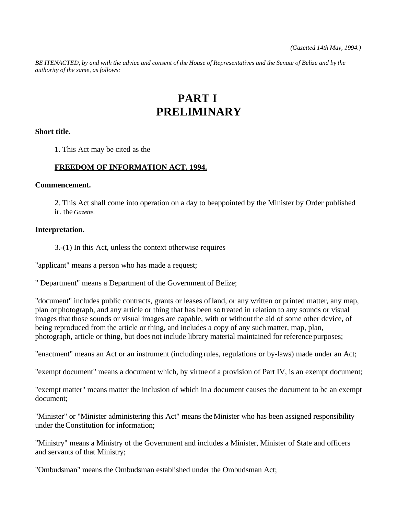*BE ITENACTED, by and with the advice and consent of the House of Representatives and the Senate of Belize and by the authority of the same, as follows:*

# **PART I PRELIMINARY**

**Short title.**

1. This Act may be cited as the

#### **FREEDOM OF INFORMATION ACT, 1994.**

#### **Commencement.**

2. This Act shall come into operation on a day to beappointed by the Minister by Order published ir. the *Gazette.*

#### **Interpretation.**

3.-(1) In this Act, unless the context otherwise requires

"applicant" means a person who has made a request;

" Department" means a Department of the Government of Belize;

"document" includes public contracts, grants or leases of land, or any written or printed matter, any map, plan or photograph, and any article or thing that has been so treated in relation to any sounds or visual images that those sounds or visual images are capable, with or without the aid of some other device, of being reproduced from the article or thing, and includes a copy of any such matter, map, plan, photograph, article or thing, but does not include library material maintained for reference purposes;

"enactment" means an Act or an instrument (including rules, regulations or by-laws) made under an Act;

"exempt document" means a document which, by virtue of a provision of Part IV, is an exempt document;

"exempt matter" means matter the inclusion of which in a document causes the document to be an exempt document;

"Minister" or "Minister administering this Act" means the Minister who has been assigned responsibility under theConstitution for information;

"Ministry" means a Ministry of the Government and includes a Minister, Minister of State and officers and servants of that Ministry;

"Ombudsman" means the Ombudsman established under the Ombudsman Act;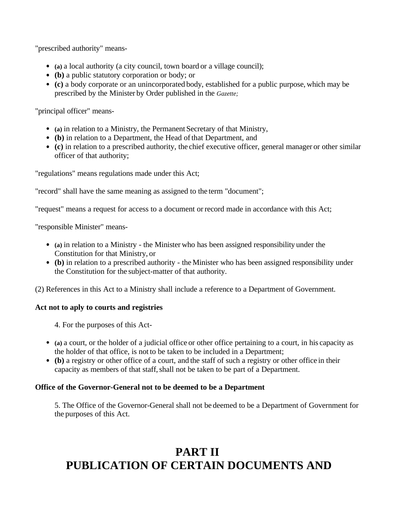"prescribed authority" means-

- **(a)** a local authority (a city council, town board or a village council);
- **(b)** a public statutory corporation or body; or
- **(c)** a body corporate or an unincorporated body, established for a public purpose, which may be prescribed by the Minister by Order published in the *Gazette;*

"principal officer" means-

- **(a)** in relation to a Ministry, the Permanent Secretary of that Ministry,
- **(b)** in relation to a Department, the Head of that Department, and
- **(c)** in relation to a prescribed authority, the chief executive officer, general manager or other similar officer of that authority;

"regulations" means regulations made under this Act;

"record" shall have the same meaning as assigned to the term "document";

"request" means a request for access to a document orrecord made in accordance with this Act;

"responsible Minister" means-

- **(a)** in relation to a Ministry the Minister who has been assigned responsibility under the Constitution for that Ministry, or
- **(b)** in relation to a prescribed authority the Minister who has been assigned responsibility under the Constitution for the subject-matter of that authority.

(2) References in this Act to a Ministry shall include a reference to a Department of Government.

# **Act not to aply to courts and registries**

4. For the purposes of this Act-

- **(a)** a court, or the holder of a judicial office or other office pertaining to a court, in his capacity as the holder of that office, is not to be taken to be included in a Department;
- **(b)** a registry or other office of a court, and the staff of such a registry or other office in their capacity as members of that staff, shall not be taken to be part of a Department.

# **Office of the Governor-General not to be deemed to be a Department**

5. The Office of the Governor-General shall not be deemed to be a Department of Government for the purposes of this Act.

# **PART II PUBLICATION OF CERTAIN DOCUMENTS AND**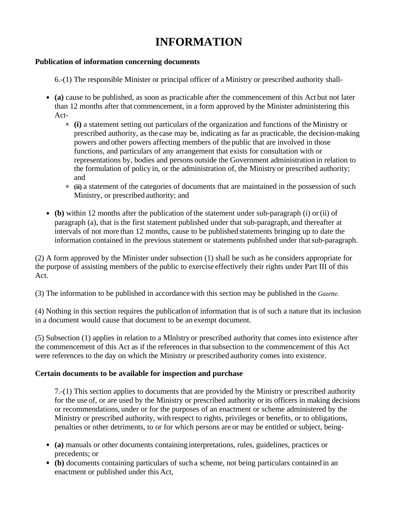# **INFORMATION**

#### **Publication of information concerning documents**

6.-(1) The responsible Minister or principal officer of a Ministry or prescribed authority shall-

- **(a)** cause to be published, as soon as practicable after the commencement of this Act but not later than 12 months after that commencement, in a form approved by the Minister administering this Act-
	- (i) a statement setting out particulars of the organization and functions of the Ministry or prescribed authority, as the case may be, indicating as far as practicable, the decision-making powers and other powers affecting members of the public that are involved in those functions, and particulars of any arrangement that exists for consultation with or representations by, bodies and persons outside the Government administration in relation to the formulation of policy in, or the administration of, the Ministry or prescribed authority; and
	- **(ii)** a statement of the categories of documents that are maintained in the possession of such Ministry, or prescribed authority; and
- **(b)** within 12 months after the publication of the statement under sub-paragraph (i) or (ii) of paragraph (a), that is the first statement published under that sub-paragraph, and thereafter at intervals of not more than 12 months, cause to be published statements bringing up to date the information contained in the previous statement or statements published under that sub-paragraph.

(2) A form approved by the Minister under subsection (1) shall be such as he considers appropriate for the purpose of assisting members of the public to exercise effectively their rights under Part III of this Act.

(3) The information to be published in accordance with this section may be published in the *Gazette.*

(4) Nothing in this section requires the publicatlon of information that is of such a nature that its inclusion in a document would cause that document to be an exempt document.

(5) Subsection (1) applies in relation to a Mlnlstry or prescribed authority that comes into existence after the commencement of this Act as if the references in that subsection to the commencement of this Act were references to the day on which the Ministry or prescribed authority comes into existence.

# **Certain documents to be available for inspection and purchase**

7.-(1) This section applies to documents that are provided by the Ministry or prescribed authority for the use of, or are used by the Ministry or prescribed authority or its officers in making decisions or recommendations, under or for the purposes of an enactment or scheme administered by the Ministry or prescribed authority, with respect to rights, privileges or benefits, or to obligations, penalties or other detriments, to or for which persons are or may be entitled or subject, being-

- **(a)** manuals or other documents containing interpretations, rules, guidelines, practices or precedents; or
- **(b)** documents containing particulars of such a scheme, not being particulars contained in an enactment or published under this Act,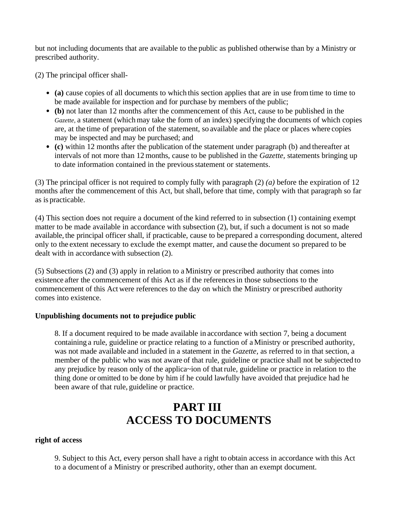but not including documents that are available to the public as published otherwise than by a Ministry or prescribed authority.

(2) The principal officer shall-

- **(a)** cause copies of all documents to which this section applies that are in use fromtime to time to be made available for inspection and for purchase by members of the public;
- **(b)** not later than 12 months after the commencement of this Act, cause to be published in the *Gazette*, a statement (which may take the form of an index) specifying the documents of which copies are, at the time of preparation of the statement, so available and the place or places where copies may be inspected and may be purchased; and
- (c) within 12 months after the publication of the statement under paragraph (b) and thereafter at intervals of not more than 12months, cause to be published in the *Gazette,* statements bringing up to date information contained in the previous statement or statements.

(3) The principal officer is not required to comply fully with paragraph (2) *(a)* before the expiration of 12 months after the commencement of this Act, but shall, before that time, comply with that paragraph so far as is practicable.

(4) This section does not require a document ofthe kind referred to in subsection (1) containing exempt matter to be made available in accordance with subsection (2), but, if such a document is not so made available, the principal officer shall, if practicable, cause to be prepared a corresponding document, altered only to the extent necessary to exclude the exempt matter, and cause the document so prepared to be dealt with in accordance with subsection (2).

(5) Subsections (2) and (3) apply in relation to a Ministry or prescribed authority that comes into existence after the commencement of this Act as if the referencesin those subsections to the commencement of this Act were references to the day on which the Ministry or prescribed authority comes into existence.

# **Unpublishing documents not to prejudice public**

8. If a document required to be made available in accordance with section 7, being a document containing a rule, guideline or practice relating to a function of a Ministry or prescribed authority, was not made available and included in a statement in the *Gazette,* as referred to in that section, a member of the public who was not aware of that rule, guideline or practice shall not be subjected to any prejudice by reason only of the applica~ion of thatrule, guideline or practice in relation to the thing done or omitted to be done by him if he could lawfully have avoided that prejudice had he been aware of that rule, guideline or practice.

# **PART III ACCESS TO DOCUMENTS**

#### **right of access**

9. Subject to this Act, every person shall have a right to obtain access in accordance with this Act to a document of a Ministry or prescribed authority, other than an exempt document.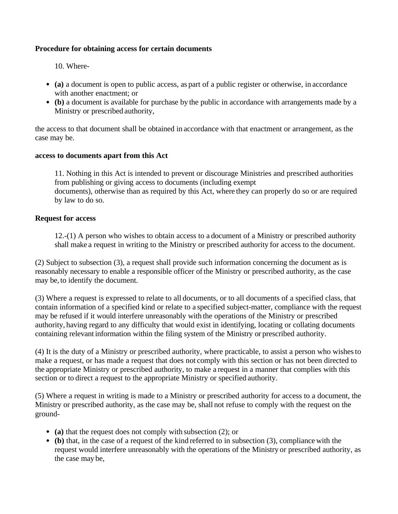### **Procedure for obtaining access for certain documents**

10. Where-

- **(a)** a document is open to public access, as part of a public register or otherwise, in accordance with another enactment; or
- **(b)** a document is available for purchase by the public in accordance with arrangements made by a Ministry or prescribed authority,

the access to that document shall be obtained in accordance with that enactment or arrangement, as the case may be.

#### **access to documents apart from this Act**

11. Nothing in this Act is intended to prevent or discourage Ministries and prescribed authorities from publishing or giving access to documents (including exempt documents), otherwise than as required by this Act, where they can properly do so or are required by law to do so.

#### **Request for access**

12.-(1) A person who wishes to obtain access to a document of a Ministry or prescribed authority shall make a request in writing to the Ministry or prescribed authority for access to the document.

(2) Subject to subsection (3), a request shall provide such information concerning the document as is reasonably necessary to enable a responsible officer of the Ministry or prescribed authority, as the case may be, to identify the document.

(3) Where a request is expressed to relate to all documents, or to all documents of a specified class, that contain information of a specified kind or relate to a specified subject-matter, compliance with the request may be refused if it would interfere unreasonably with the operations of the Ministry or prescribed authority, having regard to any difficulty that would exist in identifying, locating or collating documents containing relevant information within the filing system of the Ministry or prescribed authority.

(4) It is the duty of a Ministry or prescribed authority, where practicable, to assist a person who wishesto make a request, or has made a request that does not comply with this section or has not been directed to the appropriate Ministry or prescribed authority, to make a request in a manner that complies with this section or to direct a request to the appropriate Ministry or specified authority.

(5) Where a request in writing is made to a Ministry or prescribed authority for access to a document, the Ministry or prescribed authority, as the case may be, shall not refuse to comply with the request on the ground-

- **(a)** that the request does not comply with subsection (2); or
- **(b)** that, in the case of a request of the kind referred to in subsection (3), compliance with the request would interfere unreasonably with the operations of the Ministry or prescribed authority, as the case may be,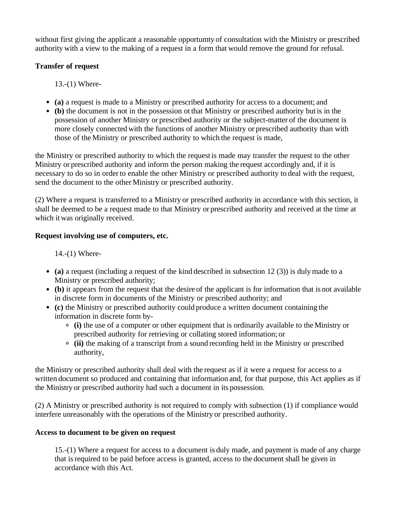without first giving the applicant a reasonable opportumty of consultation with the Ministry or prescribed authority with a view to the making of a request in a form that would remove the ground for refusal.

# **Transfer of request**

13.-(1) Where-

- **(a)** a request is made to a Ministry or prescribed authority for access to a document; and
- **(b)** the document is not in the possession ot that Ministry or prescribed authority but is in the possession of another Ministry or prescribed authority or the subject-matter of the document is more closely connected with the functions of another Ministry or prescribed authority than with those of the Ministry or prescribed authority to which the request is made,

the Ministry or prescribed authority to which the request is made may transfer the request to the other Ministry or prescribed authority and inform the person making the request accordingly and, if it is necessary to do so in order to enable the other Ministry or prescribed authority to deal with the request, send the document to the other Ministry or prescribed authority.

(2) Where a request is transferred to a Ministry or prescribed authority in accordance with this section, it shall be deemed to be a request made to that Ministry or prescribed authority and received at the time at which it was originally received.

# **Request involving use of computers, etc.**

14.-(1) Where-

- **(a)** a request (including a request of the kind described in subsection 12 (3)) is dulymade to a Ministry or prescribed authority;
- **(b)** it appears from the request that the desire of the applicant is for information that is not available in discrete form in documents of the Ministry or prescribed authority; and
- **(c)** the Ministry or prescribed authority could produce a written document containing the information in discrete form by-
	- **(i)** the use of a computer or other equipment that is ordinarily available to the Ministry or prescribed authority for retrieving or collating stored information; or
	- **(ii)** the making of a transcript from a sound recording held in the Ministry or prescribed authority,

the Ministry or prescribed authority shall deal with the request as if it were a request for access to a written document so produced and containing that information and, for that purpose, this Act applies as if the Ministry or prescribed authority had such a document in its possession.

(2) A Ministry or prescribed authority is not required to comply with subsection (1) if compliance would interfere unreasonably with the operations of the Ministry or prescribed authority.

# **Access to document to be given on request**

15.-(1) Where a request for access to a document is duly made, and payment is made of any charge that isrequired to be paid before access is granted, access to the document shall be given in accordance with this Act.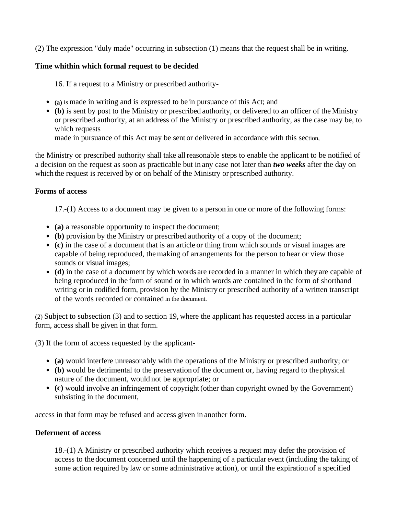(2) The expression "duly made" occurring in subsection (1) means that the request shall be in writing.

### **Time whithin which formal request to be decided**

16. If a request to a Ministry or prescribed authority-

- **(a)** is made in writing and is expressed to be in pursuance of this Act; and
- **(b)** is sent by post to the Ministry or prescribed authority, or delivered to an officer of the Ministry or prescribed authority, at an address of the Ministry or prescribed authority, as the case may be, to which requests

made in pursuance of this Act may be sent or delivered in accordance with this section,

the Ministry or prescribed authority shall take allreasonable steps to enable the applicant to be notified of a decision on the request as soon as practicable but in any case not later than *two weeks* after the day on which the request is received by or on behalf of the Ministry or prescribed authority.

#### **Forms of access**

- 17.-(1) Access to a document may be given to a person in one or more of the following forms:
- **(a)** a reasonable opportunity to inspect the document;
- **(b)** provision by the Ministry or prescribed authority of a copy of the document;
- **(c)** in the case of a document that is an article or thing from which sounds or visual images are capable of being reproduced, themaking of arrangements for the person to hear or view those sounds or visual images;
- **(d)** in the case of a document by which words are recorded in a manner in which they are capable of being reproduced in the form of sound or in which words are contained in the form of shorthand writing or in codified form, provision hy the Ministry or prescribed authority of a written transcript of the words recorded or contained in the document.

(2) Subject to subsection (3) and to section 19, where the applicant has requested access in a particular form, access shall be given in that form.

(3) If the form of access requested by the applicant*-*

- **(a)** would interfere unreasonably with the operations of the Ministry or prescribed authority; or
- **(b)** would be detrimental to the preservation of the document or, having regard to the physical nature of the document, would not be appropriate; or
- (c) would involve an infringement of copyright (other than copyright owned by the Government) subsisting in the document,

access in that form may be refused and access given in another form.

#### **Deferment of access**

18.-(1) A Ministry or prescribed authority which receives a request may defer the provision of access to the document concerned until the happening of a particular event (including the taking of some action required by law or some administrative action), or until the expiration of a specified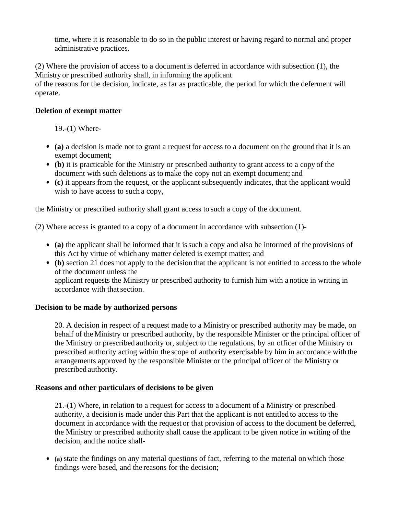time, where it is reasonable to do so in the public interest or having regard to normal and proper administrative practices.

(2) Where the provision of access to a document is deferred in accordance with subsection (1), the Ministry or prescribed authority shall, in informing the applicant

of the reasons for the decision, indicate, as far as practicable, the period for which the deferment will operate.

# **Deletion of exempt matter**

19.-(1) Where-

- (a) a decision is made not to grant a request for access to a document on the ground that it is an exempt document;
- **(b)** it is practicable for the Ministry or prescribed authority to grant access to a copy of the document with such deletions as tomake the copy not an exempt document; and
- **(c)** it appears from the request, or the applicant subsequently indicates, that the applicant would wish to have access to such a copy,

the Ministry or prescribed authority shall grant access to such a copy of the document.

(2) Where access is granted to a copy of a document in accordance with subsection (1)-

- **(a)** the applicant shall be informed that it issuch a copy and also be intormed of the provisions of this Act by virtue of which any matter deleted is exempt matter; and
- **(b)** section 21 does not apply to the decision that the applicant is not entitled to access to the whole of the document unless the applicant requests the Ministry or prescribed authority to furnish him with a notice in writing in accordance with that section.

# **Decision to be made by authorized persons**

20. A decision in respect of a request made to a Ministry or prescribed authority may be made, on behalf of the Ministry or prescribed authority, by the responsible Minister or the principal officer of the Ministry or prescribed authority or, subject to the regulations, by an officer ofthe Ministry or prescribed authority acting within the scope of authority exercisable by him in accordance with the arrangements approved by the responsible Minister or the principal officer of the Ministry or prescribed authority.

# **Reasons and other particulars of decisions to be given**

21.-(1) Where, in relation to a request for access to a document of a Ministry or prescribed authority, a decision is made under this Part that the applicant is not entitled to access to the document in accordance with the request or that provision of access to the document be deferred, the Ministry or prescribed authority shall cause the applicant to be given notice in writing of the decision, and the notice shall-

**(a)** state the findings on any material questions of fact, referring to the material on which those findings were based, and the reasons for the decision;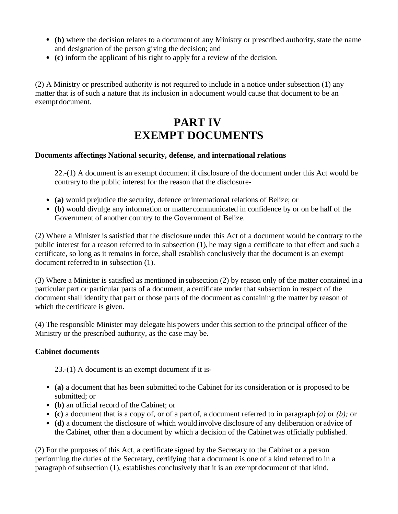- (b) where the decision relates to a document of any Ministry or prescribed authority, state the name and designation of the person giving the decision; and
- **(c)** inform the applicant of his right to apply for a review of the decision.

(2) A Ministry or prescribed authority is not required to include in a notice under subsection (1) any matter that is of such a nature that its inclusion in a document would cause that document to be an exempt document.

# **PART IV EXEMPT DOCUMENTS**

#### **Documents affectings National security, defense, and international relations**

22.-(1) A document is an exempt document if disclosure of the document under this Act would be contrary to the public interest for the reason that the disclosure-

- **(a)** would prejudice the security, defence orinternational relations of Belize; or
- **(b)** would divulge any information or matter communicated in confidence by or on be half of the Government of another country to the Government of Belize.

(2) Where a Minister is satisfied that the disclosure under this Act of a document would be contrary to the public interest for a reason referred to in subsection (1), he may sign a certificate to that effect and such a certificate, so long as it remains in force, shall establish conclusively that the document is an exempt document referred to in subsection (1).

(3) Where a Minister is satisfied as mentioned in subsection (2) by reason only of the matter contained in a particular part or particular parts of a document, a certificate under that subsection in respect of the document shall identify that part or those parts of the document as containing the matter by reason of which the certificate is given.

(4) The responsible Minister may delegate his powers under this section to the principal officer of the Ministry or the prescribed authority, as the case may be.

# **Cabinet documents**

23.-(1) A document is an exempt document if it is-

- **(a)** a document that has been submitted to the Cabinet for its consideration or is proposed to be submitted; or
- **(b)** an official record of the Cabinet; or
- **(c)** a document that is a copy of, or of a part of, a document referred to in paragraph *(a)* or *(b);* or
- **(d)** a document the disclosure of which would involve disclosure of any deliberation or advice of the Cabinet, other than a document by which a decision of the Cabinet was officially published.

(2) For the purposes of this Act, a certificate signed by the Secretary to the Cabinet or a person performing the duties of the Secretary, certifying that a document is one of a kind referred to in a paragraph of subsection (1), establishes conclusively that it is an exempt document of that kind.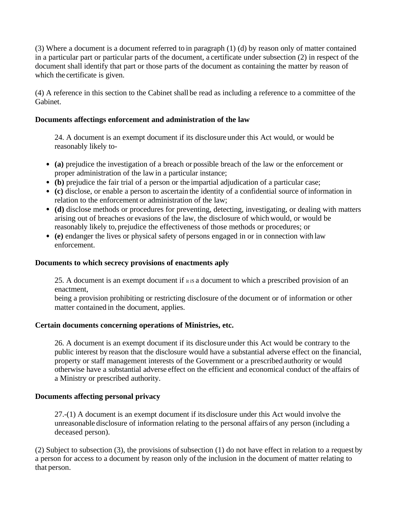(3) Where a document is a document referred to in paragraph (1) (d) by reason only of matter contained in a particular part or particular parts of the document, a certificate under subsection (2) in respect of the document shall identify that part or those parts of the document as containing the matter by reason of which the certificate is given.

(4) A reference in this section to the Cabinet shall be read as including a reference to a committee of the Gabinet.

# **Documents affectings enforcement and administration of the law**

24. A document is an exempt document if its disclosure under this Act would, or would be reasonably likely to-

- **(a)** prejudice the investigation of a breach or possible breach of the law or the enforcement or proper administration of the law in a particular instance;
- **(b)** prejudice the fair trial of a person or the impartial adjudication of a particular case;
- **(c)** disclose, or enable a person to ascertain the identity of a confidential source ofinformation in relation to the enforcement or administration of the law;
- **(d)** disclose methods or procedures for preventing, detecting, investigating, or dealing with matters arising out of breaches or evasions of the law, the disclosure of which would, or would be reasonably likely to, prejudice the effectiveness of those methods or procedures; or
- **(e)** endanger the lives or physical safety of persons engaged in or in connection with law enforcement.

# **Documents to which secrecy provisions of enactments aply**

25. A document is an exempt document if  $\pi$  is a document to which a prescribed provision of an enactment,

being a provision prohibiting or restricting disclosure of the document or of information or other matter contained in the document, applies.

# **Certain documents concerning operations of Ministries, etc.**

26. A document is an exempt document if its disclosure under this Act would be contrary to the public interest by reason that the disclosure would have a substantial adverse effect on the financial, property or staff management interests of the Government or a prescribed authority or would otherwise have a substantial adverse effect on the efficient and economical conduct of the affairs of a Ministry or prescribed authority.

# **Documents affecting personal privacy**

27.-(1) A document is an exempt document if its disclosure under this Act would involve the unreasonable disclosure of information relating to the personal affairs of any person (including a deceased person).

(2) Subject to subsection (3), the provisions of subsection (1) do not have effect in relation to a request by a person for access to a document by reason only of the inclusion in the document of matter relating to that person.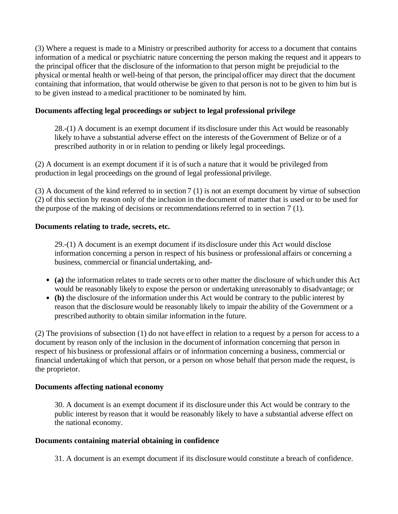(3) Where a request is made to a Ministry or prescribed authority for access to a document that contains information of a medical or psychiatric nature concerning the person making the request and it appears to the principal officer that the disclosure of the information to that person might be prejudicial to the physical ormental health or well-being of that person, the principal officer may direct that the document containing that information, that would otherwise be given to that person is not to be given to him but is to be given instead to a medical practitioner to be nominated by him.

### **Documents affecting legal proceedings or subject to legal professional privilege**

28.-(1) A document is an exempt document if its disclosure under this Act would be reasonably likely to have a substantial adverse effect on the interests of the Government of Belize or of a prescribed authority in or in relation to pending or likely legal proceedings.

(2) A document is an exempt document if it is of such a nature that it would be privileged from production in legal proceedings on the ground of legal professional privilege.

(3) A document of the kind referred to in section 7 (1) is not an exempt document by virtue of subsection (2) of this section by reason only of the inclusion in the document of matter that is used or to be used for the purpose of the making of decisions or recommendations referred to in section  $7(1)$ .

#### **Documents relating to trade, secrets, etc.**

29.-(1) A document is an exempt document if its disclosure under this Act would disclose information concerning a person in respect of his business or professional affairs or concerning a business, commercial or financial undertaking, and-

- **(a)** the information relates to trade secrets orto other matter the disclosure of which under this Act would be reasonably likely to expose the person or undertaking unreasonably to disadvantage; or
- **(b)** the disclosure of the information underthis Act would be contrary to the public interest by reason that the disclosure would be reasonably likely to impair the ability of the Government or a prescribed authority to obtain similar information in the future.

(2) The provisions of subsection (1) do not have effect in relation to a request by a person for access to a document by reason only of the inclusion in the document of information concerning that person in respect of his business or professional affairs or of information concerning a business, commercial or financial undertaking of which that person, or a person on whose behalf that person made the request, is the proprietor.

#### **Documents affecting national economy**

30. A document is an exempt document if its disclosure under this Act would be contrary to the public interest by reason that it would be reasonably likely to have a substantial adverse effect on the national economy.

#### **Documents containing material obtaining in confidence**

31. A document is an exempt document if its disclosure would constitute a breach of confidence.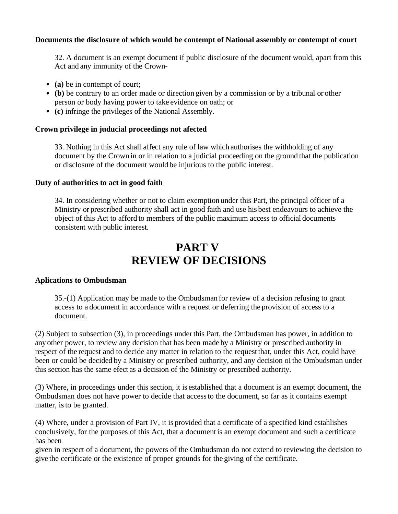#### **Documents the disclosure of which would be contempt of National assembly or contempt of court**

32. A document is an exempt document if public disclosure of the document would, apart from this Act and any immunity of the Crown-

- **(a)** be in contempt of court;
- **(b)** be contrary to an order made or direction given by a commission or by a tribunal or other person or body having power to take evidence on oath; or
- **(c)** infringe the privileges of the National Assembly.

#### **Crown privilege in juducial proceedings not afected**

33. Nothing in this Act shall affect any rule of law which authorises the withholding of any document by the Crown in or in relation to a judicial proceeding on the ground that the publication or disclosure of the document would be injurious to the public interest.

#### **Duty of authorities to act in good faith**

34. In considering whether or not to claim exemption under this Part, the principal officer of a Ministry or prescribed authority shall act in good faith and use his best endeavours to achieve the object of this Act to afford to members of the public maximum access to official documents consistent with public interest.

# **PART V REVIEW OF DECISIONS**

#### **Aplications to Ombudsman**

35.-(1) Application may be made to the Ombudsman for review of a decision refusing to grant access to a document in accordance with a request or deferring the provision of access to a document.

(2) Subject to subsection (3), in proceedings underthis Part, the Ombudsman has power, in addition to any other power, to review any decision that has been made by a Ministry or prescribed authority in respect of the request and to decide any matter in relation to the request that, under this Act, could have been or could be decided by a Ministry or prescribed authority, and any decision oI the Ombudsman under this section has the same efect as a decision of the Ministry or prescribed authority.

(3) Where, in proceedings under this section, it is established that a document is an exempt document, the Ombudsman does not have power to decide that accessto the document, so far as it contains exempt matter, isto be granted.

(4) Where, under a provision of Part IV, it is provided that a certificate of a specified kind estahlishes conclusively, for the purposes of this Act, that a document is an exempt document and such a certificate has been

given in respect of a document, the powers of the Ombudsman do not extend to reviewing the decision to give the certificate or the existence of proper grounds for the giving of the certificate.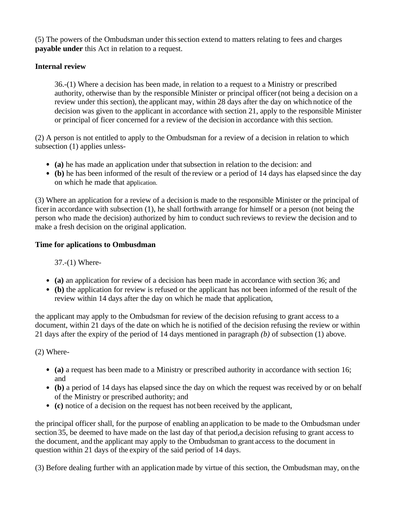(5) The powers of the Ombudsman under thissection extend to matters relating to fees and charges **payable under** this Act in relation to a request.

# **Internal review**

36.-(1) Where a decision has been made, in relation to a request to a Ministry or prescribed authority, otherwise than by the responsible Minister or principal officer(not being a decision on a review under this section), the applicant may, within 28 days after the day on which notice of the decision was given to the applicant in accordance with section 21, apply to the responsible Minister or principal of ficer concerned for a review of the decision in accordance with this section.

(2) A person is not entitled to apply to the Ombudsman for a review of a decision in relation to which subsection (1) applies unless-

- **(a)** he has made an application under thatsubsection in relation to the decision: and
- **(b)** he has been informed of the result of the review or a period of 14 days has elapsed since the day on which he made that application.

(3) Where an application for a review of a decision is made to the responsible Minister or the principal of ficerin accordance with subsection (1), he shall forthwith arrange for himself or a person (not being the person who made the decision) authorized by him to conduct such reviews to review the decision and to make a fresh decision on the original application.

# **Time for aplications to Ombusdman**

37.-(1) Where-

- **(a)** an application for review of a decision has been made in accordance with section 36; and
- **(b)** the application for review is refused or the applicant has not been informed of the result of the review within 14 days after the day on which he made that application,

the applicant may apply to the Ombudsman for review of the decision refusing to grant access to a document, within 21 days of the date on which he is notified of the decision refusing the review or within 21 days after the expiry of the period of 14 days mentioned in paragraph *(b)* of subsection (1) above.

(2) Where-

- **(a)** a request has been made to a Ministry or prescribed authority in accordance with section 16; and
- **(b)** a period of 14 days has elapsed since the day on which the request was received by or on behalf of the Ministry or prescribed authority; and
- **(c)** notice of a decision on the request has not been received by the applicant,

the principal officer shall, for the purpose of enabling an application to be made to the Ombudsman under section 35, be deemed to have made on the last day of that period,a decision refusing to grant access to the document, and the applicant may apply to the Ombudsman to grant access to the document in question within 21 days of the expiry of the said period of 14 days.

(3) Before dealing further with an applicationmade by virtue of this section, the Ombudsman may, on the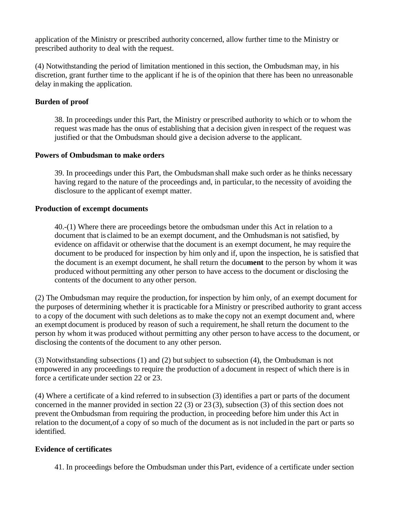application of the Ministry or prescribed authority concerned, allow further time to the Ministry or prescribed authority to deal with the request.

(4) Notwithstanding the period of limitation mentioned in this section, the Ombudsman may, in his discretion, grant further time to the applicant if he is of the opinion that there has been no unreasonable delay in making the application.

# **Burden of proof**

38. In proceedings under this Part, the Ministry or prescribed authority to which or to whom the request was made has the onus of establishing that a decision given in respect of the request was justified or that the Ombudsman should give a decision adverse to the applicant.

# **Powers of Ombudsman to make orders**

39. In proceedings under this Part, the Ombudsman shall make such order as he thinks necessary having regard to the nature of the proceedings and, in particular, to the necessity of avoiding the disclosure to the applicant of exempt matter.

# **Production of excempt documents**

40.-(1) Where there are proceedings betore the ombudsman under this Act in relation to a document that is claimed to be an exempt document, and the Omhudsman is not satisfied, by evidence on affidavit or otherwise that the document is an exempt document, he may require the document to be produced for inspection by him only and if, upon the inspection, he is satisfied that the document is an exempt document, he shall return the docu**ment** to the person by whom it was produced without permitting any other person to have access to the document or disclosing the contents of the document to any other person.

(2) The Ombudsman may require the production,for inspection by him only, of an exempt document for the purposes of determining whether it is practicable for a Ministry or prescribed authority to grant access to a copy of the document with such deletions as to make the copy not an exempt document and, where an exempt document is produced by reason of such a requirement, he shall return the document to the person hy whom it was produced without permitting any other person to have access to the document, or disclosing the contents of the document to any other person.

(3) Notwithstanding subsections (1) and (2) butsubject to subsection (4), the Ombudsman is not empowered in any proceedings to require the production of a document in respect of which there is in force a certificate under section 22 or 23.

(4) Where a certificate of a kind referred to in subsection (3) identifies a part or parts of the document concerned in the manner provided in section 22 (3) or 23 (3), subsection (3) of this section does not prevent the Ombudsman from requiring the production, in proceeding before him under this Act in relation to the document,of a copy of so much of the document as is not included in the part or parts so identified.

# **Evidence of certificates**

41. In proceedings before the Ombudsman under this Part, evidence of a certificate under section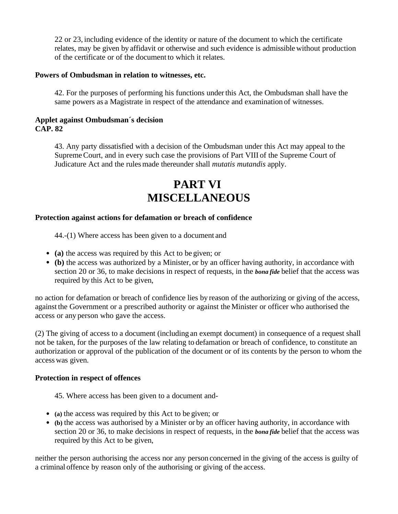22 or 23, including evidence of the identity or nature of the document to which the certificate relates, may be given by affidavit or otherwise and such evidence is admissible without production of the certificate or of the document to which it relates.

#### **Powers of Ombudsman in relation to witnesses, etc.**

42. For the purposes of performing his functions underthis Act, the Ombudsman shall have the same powers as a Magistrate in respect of the attendance and examination of witnesses.

#### **Applet against Ombudsman´s decision CAP. 82**

43. Any party dissatisfied with a decision of the Ombudsman under this Act may appeal to the SupremeCourt, and in every such case the provisions of Part VIII of the Supreme Court of Judicature Act and the rules made thereunder shall *mutatis mutandis* apply.

# **PART VI MISCELLANEOUS**

#### **Protection against actions for defamation or breach of confidence**

44.-(1) Where access has been given to a document and

- **(a)** the access was required by this Act to be given; or
- **(b)** the access was authorized by a Minister, or by an officer having authority, in accordance with section 20 or 36, to make decisions in respect of requests, in the *bona fide* belief that the access was required by this Act to be given,

no action for defamation or breach of confidence lies by reason of the authorizing or giving of the access, against the Government or a prescribed authority or against the Minister or officer who authorised the access or any person who gave the access.

(2) The giving of access to a document (including an exempt document) in consequence of a request shall not be taken, for the purposes of the law relating to defamation or breach of confidence, to constitute an authorization or approval of the publication of the document or of its contents by the person to whom the access was given.

# **Protection in respect of offences**

45. Where access has been given to a document and-

- **(a)** the access was required by this Act to be given; or
- **(b)** the access was authorised by a Minister or by an officer having authority, in accordance with section 20 or 36, to make decisions in respect of requests, in the *bona fide* belief that the access was required by this Act to be given,

neither the person authorising the access nor any person concerned in the giving of the access is guilty of a criminal offence by reason only of the authorising or giving of the access.